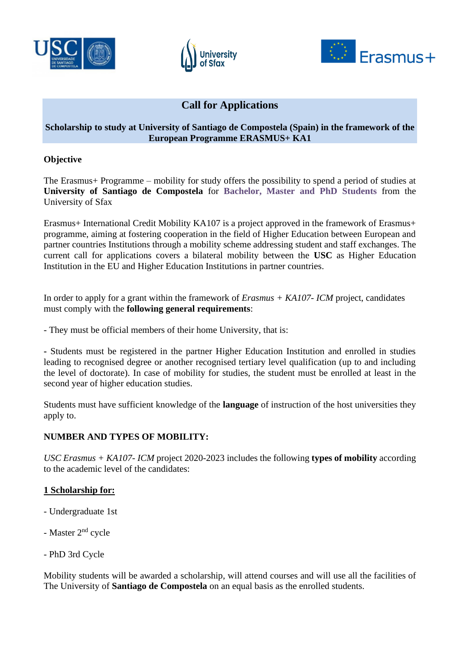





# **Call for Applications**

## **Scholarship to study at University of Santiago de Compostela (Spain) in the framework of the European Programme ERASMUS+ KA1**

## **Objective**

The Erasmus+ Programme – mobility for study offers the possibility to spend a period of studies at **University of Santiago de Compostela** for **Bachelor, Master and PhD Students** from the University of Sfax

Erasmus+ International Credit Mobility KA107 is a project approved in the framework of Erasmus+ programme, aiming at fostering cooperation in the field of Higher Education between European and partner countries Institutions through a mobility scheme addressing student and staff exchanges. The current call for applications covers a bilateral mobility between the **USC** as Higher Education Institution in the EU and Higher Education Institutions in partner countries.

In order to apply for a grant within the framework of *Erasmus + KA107- ICM* project, candidates must comply with the **following general requirements**:

- They must be official members of their home University, that is:

**-** Students must be registered in the partner Higher Education Institution and enrolled in studies leading to recognised degree or another recognised tertiary level qualification (up to and including the level of doctorate). In case of mobility for studies, the student must be enrolled at least in the second year of higher education studies.

Students must have sufficient knowledge of the **language** of instruction of the host universities they apply to.

## **NUMBER AND TYPES OF MOBILITY:**

*USC Erasmus + KA107- ICM* project 2020-2023 includes the following **types of mobility** according to the academic level of the candidates:

## **1 Scholarship for:**

- Undergraduate 1st
- Master 2nd cycle
- PhD 3rd Cycle

Mobility students will be awarded a scholarship, will attend courses and will use all the facilities of The University of **Santiago de Compostela** on an equal basis as the enrolled students.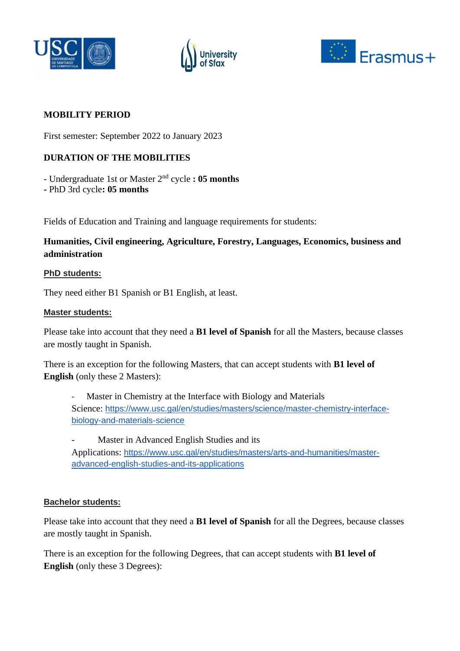





## **MOBILITY PERIOD**

First semester: September 2022 to January 2023

## **DURATION OF THE MOBILITIES**

- Undergraduate 1st or Master 2nd cycle **: 05 months** 

**-** PhD 3rd cycle**: 05 months** 

Fields of Education and Training and language requirements for students:

## **Humanities, Civil engineering, Agriculture, Forestry, Languages, Economics, business and administration**

## **PhD students:**

They need either B1 Spanish or B1 English, at least.

#### **Master students:**

Please take into account that they need a **B1 level of Spanish** for all the Masters, because classes are mostly taught in Spanish.

There is an exception for the following Masters, that can accept students with **B1 level of English** (only these 2 Masters):

Master in Chemistry at the Interface with Biology and Materials Science: [https://www.usc.gal/en/studies/masters/science/master-chemistry-interface](https://www.usc.gal/en/studies/masters/science/master-chemistry-interface-biology-and-materials-science)[biology-and-materials-science](https://www.usc.gal/en/studies/masters/science/master-chemistry-interface-biology-and-materials-science)

Master in Advanced English Studies and its Applications: [https://www.usc.gal/en/studies/masters/arts-and-humanities/master](https://www.usc.gal/en/studies/masters/arts-and-humanities/master-advanced-english-studies-and-its-applications)[advanced-english-studies-and-its-applications](https://www.usc.gal/en/studies/masters/arts-and-humanities/master-advanced-english-studies-and-its-applications)

## **Bachelor students:**

Please take into account that they need a **B1 level of Spanish** for all the Degrees, because classes are mostly taught in Spanish.

There is an exception for the following Degrees, that can accept students with **B1 level of English** (only these 3 Degrees):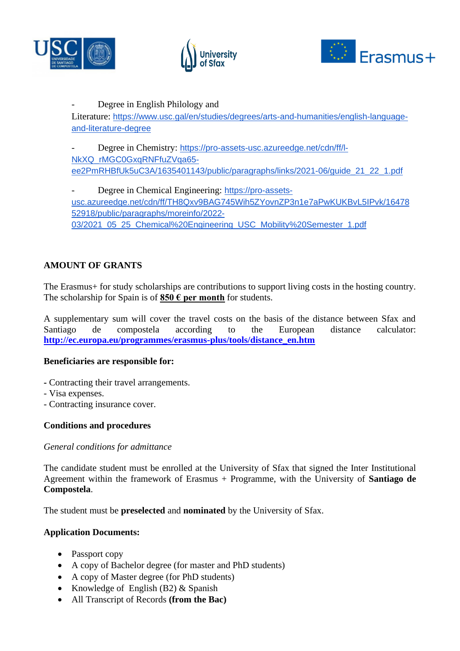





## Degree in English Philology and

Literature: [https://www.usc.gal/en/studies/degrees/arts-and-humanities/english-language](https://www.usc.gal/en/studies/degrees/arts-and-humanities/english-language-and-literature-degree)[and-literature-degree](https://www.usc.gal/en/studies/degrees/arts-and-humanities/english-language-and-literature-degree)

Degree in Chemistry: [https://pro-assets-usc.azureedge.net/cdn/ff/l-](https://pro-assets-usc.azureedge.net/cdn/ff/l-NkXQ_rMGC0GxqRNFfuZVqa65-ee2PmRHBfUk5uC3A/1635401143/public/paragraphs/links/2021-06/guide_21_22_1.pdf)[NkXQ\\_rMGC0GxqRNFfuZVqa65](https://pro-assets-usc.azureedge.net/cdn/ff/l-NkXQ_rMGC0GxqRNFfuZVqa65-ee2PmRHBfUk5uC3A/1635401143/public/paragraphs/links/2021-06/guide_21_22_1.pdf) [ee2PmRHBfUk5uC3A/1635401143/public/paragraphs/links/2021-06/guide\\_21\\_22\\_1.pdf](https://pro-assets-usc.azureedge.net/cdn/ff/l-NkXQ_rMGC0GxqRNFfuZVqa65-ee2PmRHBfUk5uC3A/1635401143/public/paragraphs/links/2021-06/guide_21_22_1.pdf)

Degree in Chemical Engineering: [https://pro-assets](https://pro-assets-usc.azureedge.net/cdn/ff/TH8Qxv9BAG745Wih5ZYovnZP3n1e7aPwKUKBvL5IPvk/1647852918/public/paragraphs/moreinfo/2022-03/2021_05_25_Chemical%20Engineering_USC_Mobility%20Semester_1.pdf)[usc.azureedge.net/cdn/ff/TH8Qxv9BAG745Wih5ZYovnZP3n1e7aPwKUKBvL5IPvk/16478](https://pro-assets-usc.azureedge.net/cdn/ff/TH8Qxv9BAG745Wih5ZYovnZP3n1e7aPwKUKBvL5IPvk/1647852918/public/paragraphs/moreinfo/2022-03/2021_05_25_Chemical%20Engineering_USC_Mobility%20Semester_1.pdf) [52918/public/paragraphs/moreinfo/2022-](https://pro-assets-usc.azureedge.net/cdn/ff/TH8Qxv9BAG745Wih5ZYovnZP3n1e7aPwKUKBvL5IPvk/1647852918/public/paragraphs/moreinfo/2022-03/2021_05_25_Chemical%20Engineering_USC_Mobility%20Semester_1.pdf) [03/2021\\_05\\_25\\_Chemical%20Engineering\\_USC\\_Mobility%20Semester\\_1.pdf](https://pro-assets-usc.azureedge.net/cdn/ff/TH8Qxv9BAG745Wih5ZYovnZP3n1e7aPwKUKBvL5IPvk/1647852918/public/paragraphs/moreinfo/2022-03/2021_05_25_Chemical%20Engineering_USC_Mobility%20Semester_1.pdf)

## **AMOUNT OF GRANTS**

The Erasmus+ for study scholarships are contributions to support living costs in the hosting country. The scholarship for Spain is of **850 € per month** for students.

A supplementary sum will cover the travel costs on the basis of the distance between Sfax and Santiago de compostela according to the European distance calculator: **[http://ec.europa.eu/programmes/erasmus-plus/tools/distance\\_en.htm](http://ec.europa.eu/programmes/erasmus-plus/tools/distance_en.htm)**

#### **Beneficiaries are responsible for:**

- **-** Contracting their travel arrangements.
- Visa expenses.
- Contracting insurance cover.

## **Conditions and procedures**

#### *General conditions for admittance*

The candidate student must be enrolled at the University of Sfax that signed the Inter Institutional Agreement within the framework of Erasmus + Programme, with the University of **Santiago de Compostela**.

The student must be **preselected** and **nominated** by the University of Sfax.

## **Application Documents:**

- Passport copy
- A copy of Bachelor degree (for master and PhD students)
- A copy of Master degree (for PhD students)
- Knowledge of English (B2) & Spanish
- All Transcript of Records **(from the Bac)**